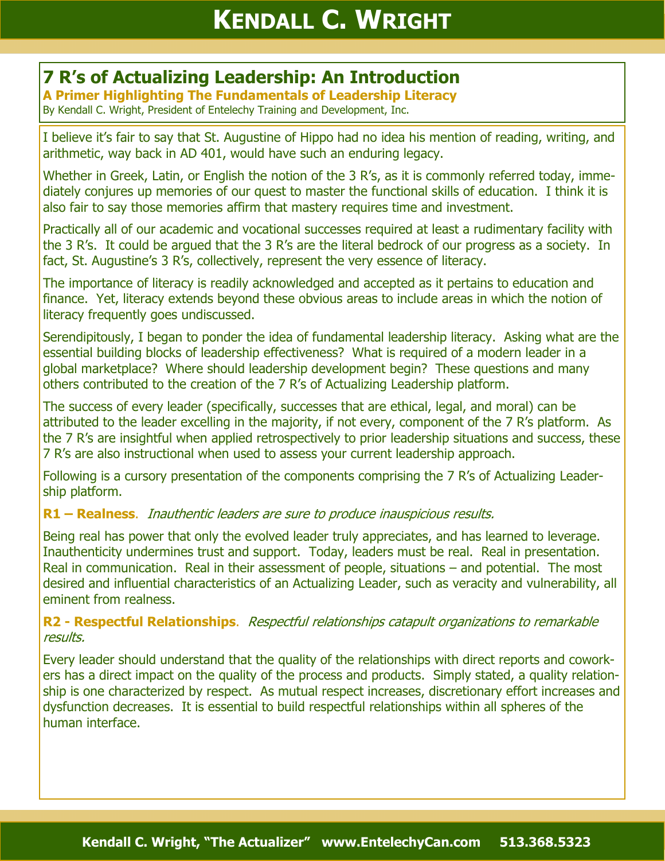# **7 R's of Actualizing Leadership: An Introduction**

**A Primer Highlighting The Fundamentals of Leadership Literacy** By Kendall C. Wright, President of Entelechy Training and Development, Inc.

I believe it's fair to say that St. Augustine of Hippo had no idea his mention of reading, writing, and arithmetic, way back in AD 401, would have such an enduring legacy.

Whether in Greek, Latin, or English the notion of the 3 R's, as it is commonly referred today, immediately conjures up memories of our quest to master the functional skills of education. I think it is also fair to say those memories affirm that mastery requires time and investment.

Practically all of our academic and vocational successes required at least a rudimentary facility with the 3 R's. It could be argued that the 3 R's are the literal bedrock of our progress as a society. In fact, St. Augustine's 3 R's, collectively, represent the very essence of literacy.

The importance of literacy is readily acknowledged and accepted as it pertains to education and finance. Yet, literacy extends beyond these obvious areas to include areas in which the notion of literacy frequently goes undiscussed.

Serendipitously, I began to ponder the idea of fundamental leadership literacy. Asking what are the essential building blocks of leadership effectiveness? What is required of a modern leader in a global marketplace? Where should leadership development begin? These questions and many others contributed to the creation of the 7 R's of Actualizing Leadership platform.

The success of every leader (specifically, successes that are ethical, legal, and moral) can be attributed to the leader excelling in the majority, if not every, component of the 7 R's platform. As the 7 R's are insightful when applied retrospectively to prior leadership situations and success, these 7 R's are also instructional when used to assess your current leadership approach.

Following is a cursory presentation of the components comprising the 7 R's of Actualizing Leadership platform.

#### **R1 – Realness**. Inauthentic leaders are sure to produce inauspicious results.

Being real has power that only the evolved leader truly appreciates, and has learned to leverage. Inauthenticity undermines trust and support. Today, leaders must be real. Real in presentation. Real in communication. Real in their assessment of people, situations – and potential. The most desired and influential characteristics of an Actualizing Leader, such as veracity and vulnerability, all eminent from realness.

#### **R2 - Respectful Relationships**. Respectful relationships catapult organizations to remarkable results.

Every leader should understand that the quality of the relationships with direct reports and coworkers has a direct impact on the quality of the process and products. Simply stated, a quality relationship is one characterized by respect. As mutual respect increases, discretionary effort increases and dysfunction decreases. It is essential to build respectful relationships within all spheres of the human interface.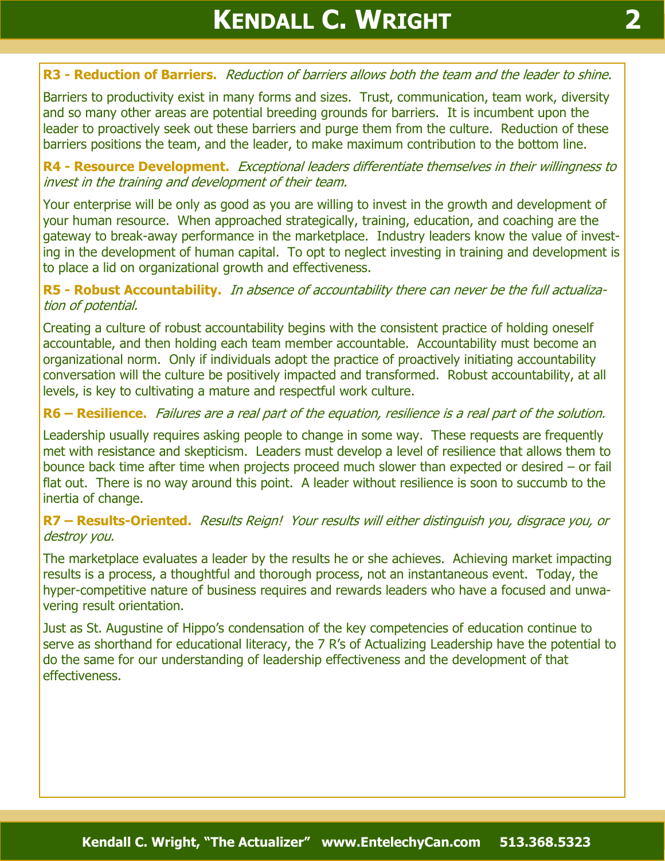## **R3 - Reduction of Barriers.** Reduction of barriers allows both the team and the leader to shine.

Barriers to productivity exist in many forms and sizes. Trust, communication, team work, diversity and so many other areas are potential breeding grounds for barriers. It is incumbent upon the leader to proactively seek out these barriers and purge them from the culture. Reduction of these barriers positions the team, and the leader, to make maximum contribution to the bottom line.

**R4 - Resource Development.** Exceptional leaders differentiate themselves in their willingness to invest in the training and development of their team.

Your enterprise will be only as good as you are willing to invest in the growth and development of your human resource. When approached strategically, training, education, and coaching are the gateway to break-away performance in the marketplace. Industry leaders know the value of investing in the development of human capital. To opt to neglect investing in training and development is to place a lid on organizational growth and effectiveness.

#### **R5 - Robust Accountability.** In absence of accountability there can never be the full actualization of potential.

Creating a culture of robust accountability begins with the consistent practice of holding oneself accountable, and then holding each team member accountable. Accountability must become an organizational norm. Only if individuals adopt the practice of proactively initiating accountability conversation will the culture be positively impacted and transformed. Robust accountability, at all levels, is key to cultivating a mature and respectful work culture.

### **R6 – Resilience.** Failures are a real part of the equation, resilience is a real part of the solution.

Leadership usually requires asking people to change in some way. These requests are frequently met with resistance and skepticism. Leaders must develop a level of resilience that allows them to bounce back time after time when projects proceed much slower than expected or desired – or fail flat out. There is no way around this point. A leader without resilience is soon to succumb to the inertia of change.

#### **R7 – Results-Oriented.** Results Reign! Your results will either distinguish you, disgrace you, or destroy you.

The marketplace evaluates a leader by the results he or she achieves. Achieving market impacting results is a process, a thoughtful and thorough process, not an instantaneous event. Today, the hyper-competitive nature of business requires and rewards leaders who have a focused and unwavering result orientation.

Just as St. Augustine of Hippo's condensation of the key competencies of education continue to serve as shorthand for educational literacy, the 7 R's of Actualizing Leadership have the potential to do the same for our understanding of leadership effectiveness and the development of that effectiveness.